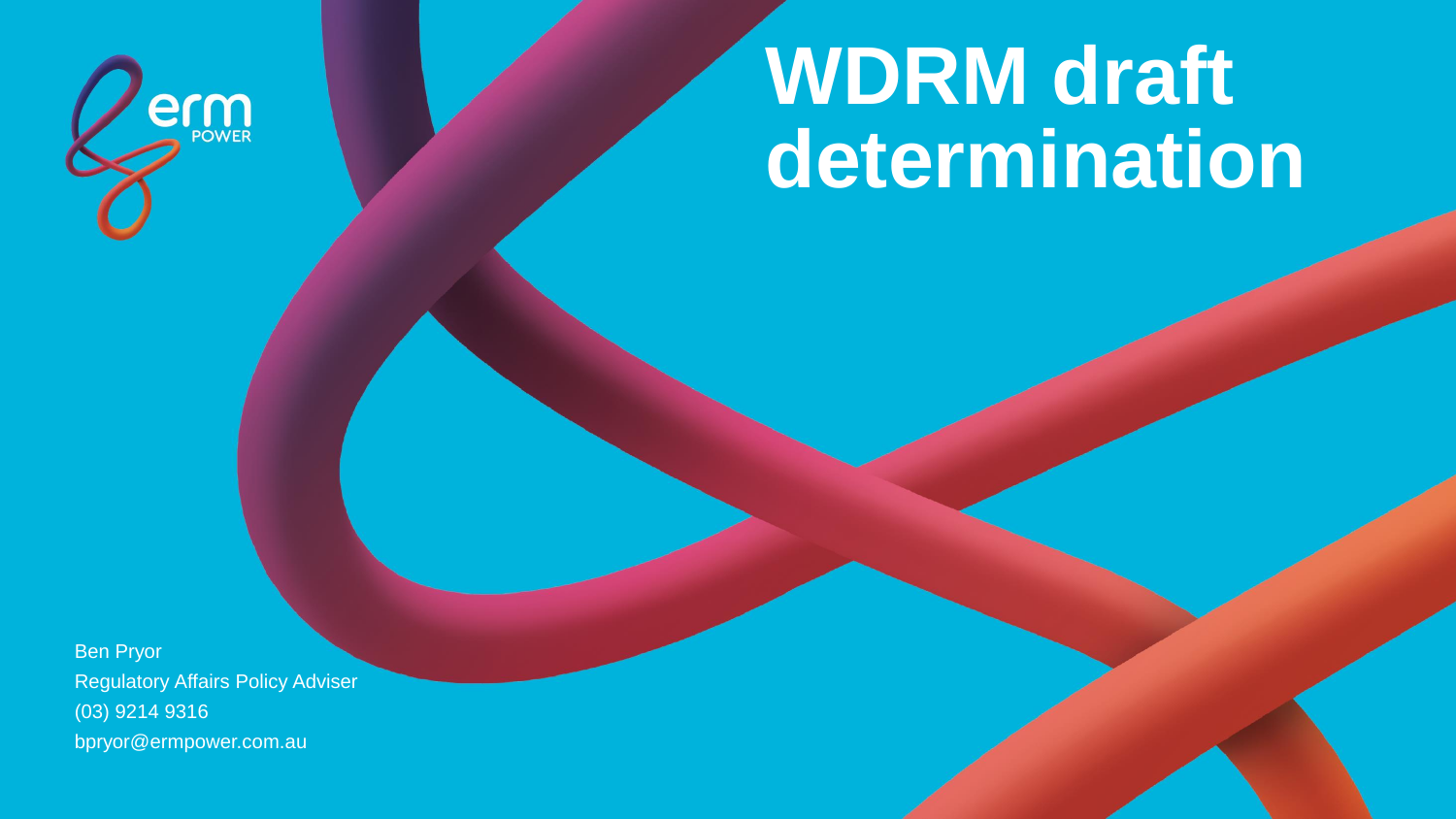

# **WDRM draft determination**

Ben Pryor Regulatory Affairs Policy Adviser (03) 9214 9316 bpryor@ermpower.com.au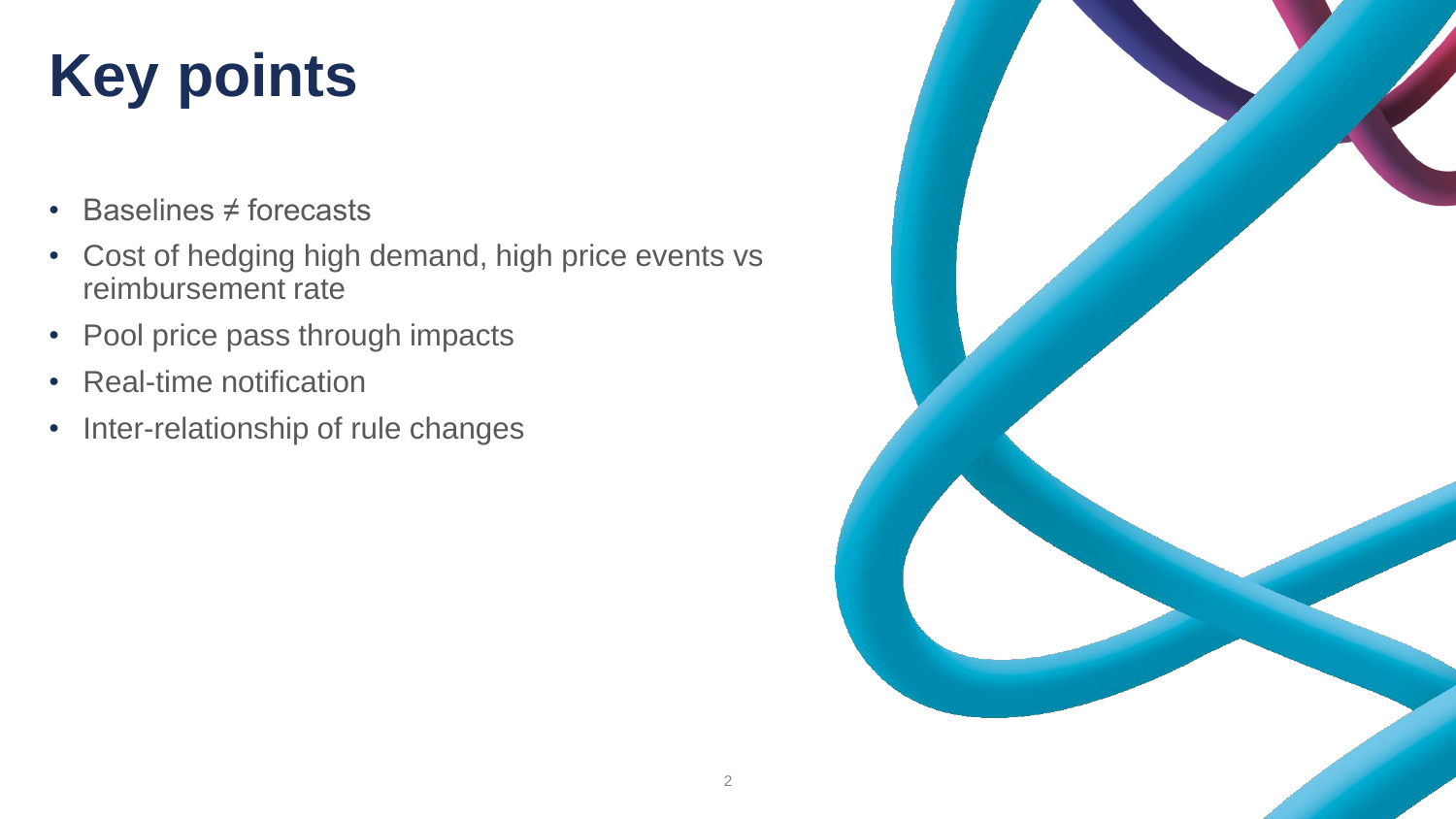## **Key points**

- Baselines ≠ forecasts
- Cost of hedging high demand, high price events vs reimbursement rate
- Pool price pass through impacts
- Real-time notification
- Inter-relationship of rule changes

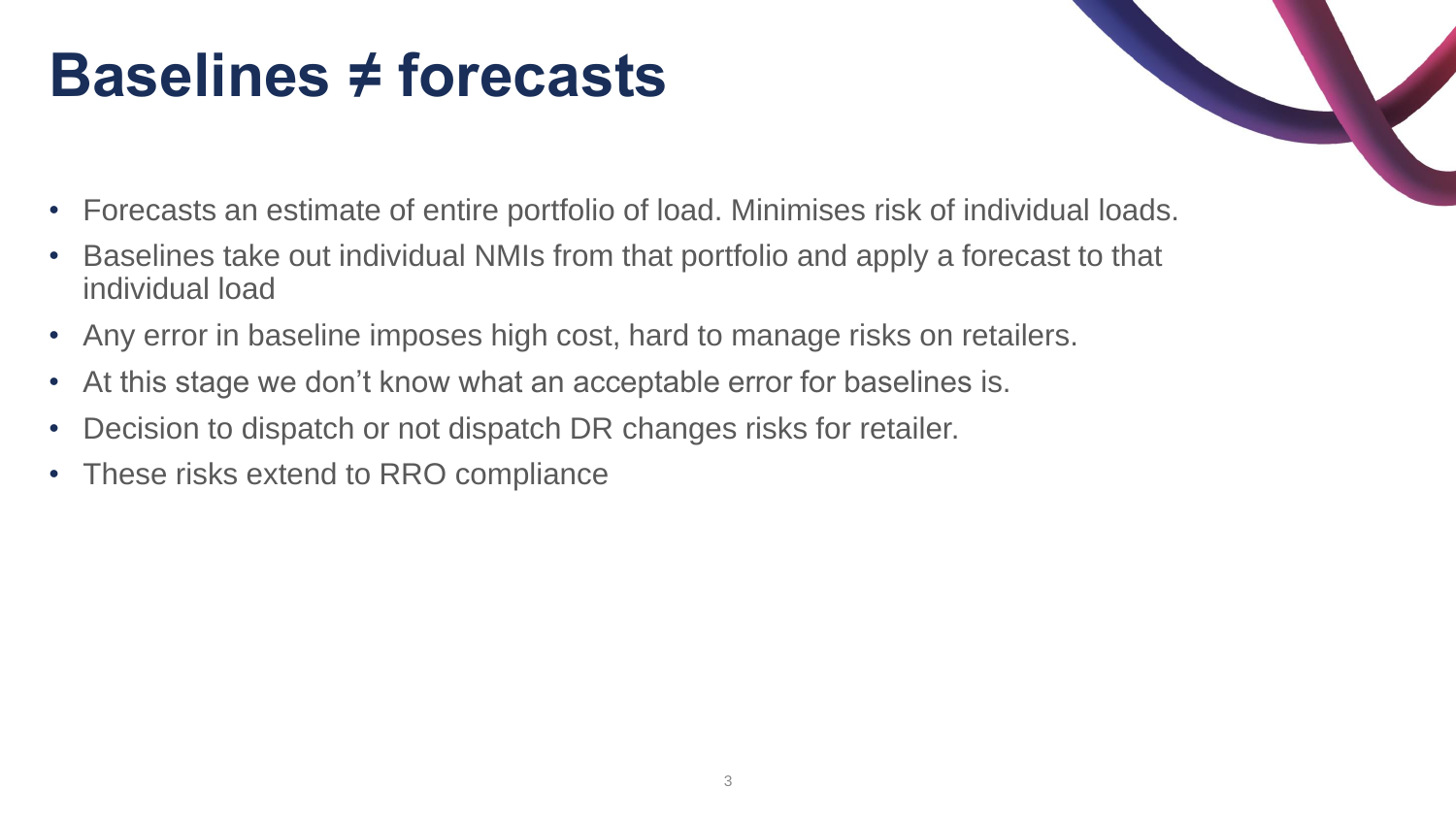### **Baselines ≠ forecasts**

- Forecasts an estimate of entire portfolio of load. Minimises risk of individual loads.
- Baselines take out individual NMIs from that portfolio and apply a forecast to that individual load
- Any error in baseline imposes high cost, hard to manage risks on retailers.
- At this stage we don't know what an acceptable error for baselines is.
- Decision to dispatch or not dispatch DR changes risks for retailer.
- These risks extend to RRO compliance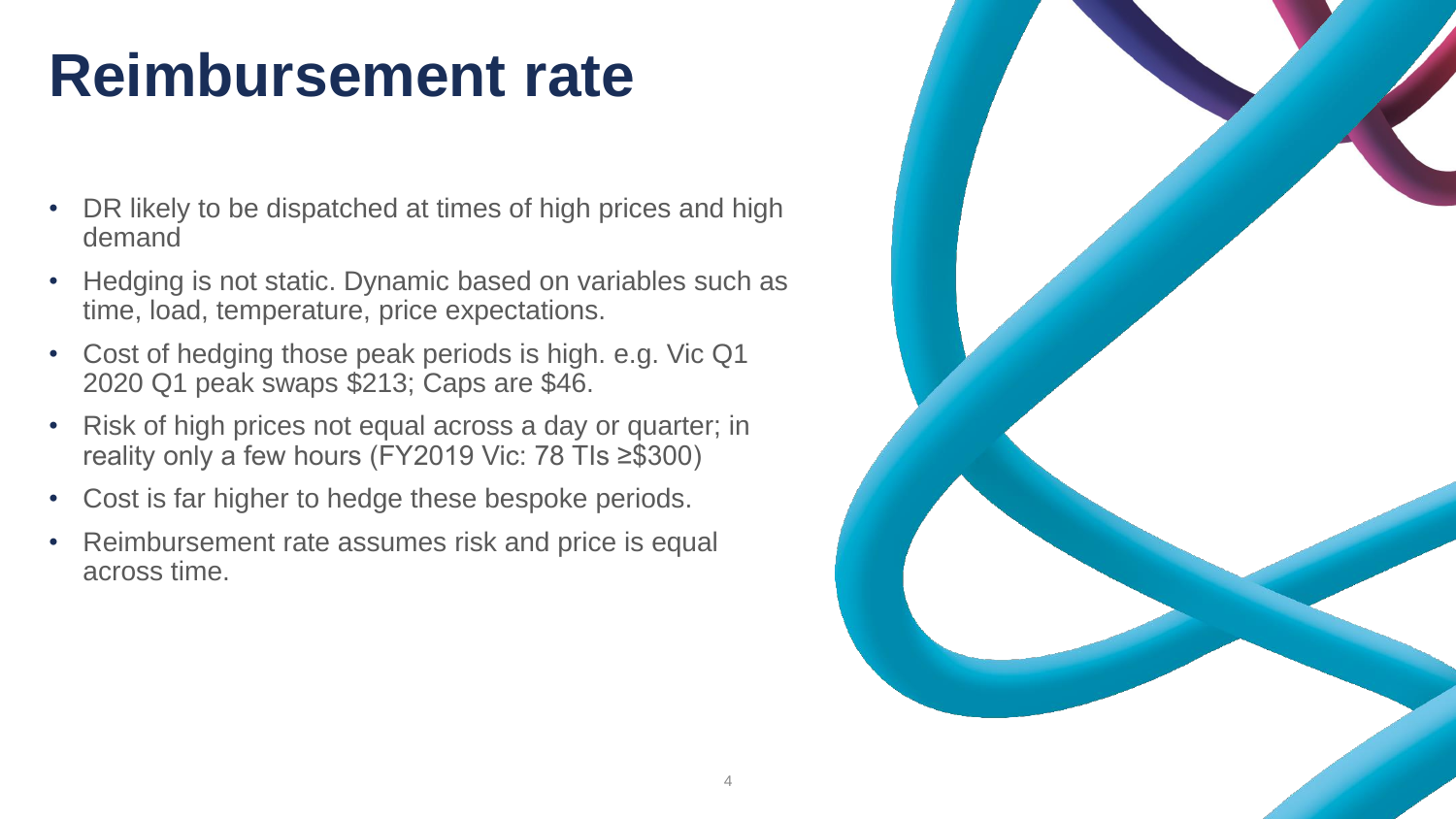## **Reimbursement rate**

- DR likely to be dispatched at times of high prices and high demand
- Hedging is not static. Dynamic based on variables such as time, load, temperature, price expectations.
- Cost of hedging those peak periods is high. e.g. Vic Q1 2020 Q1 peak swaps \$213; Caps are \$46.
- Risk of high prices not equal across a day or quarter; in reality only a few hours (FY2019 Vic: 78 TIs ≥\$300)
- Cost is far higher to hedge these bespoke periods.
- Reimbursement rate assumes risk and price is equal across time.

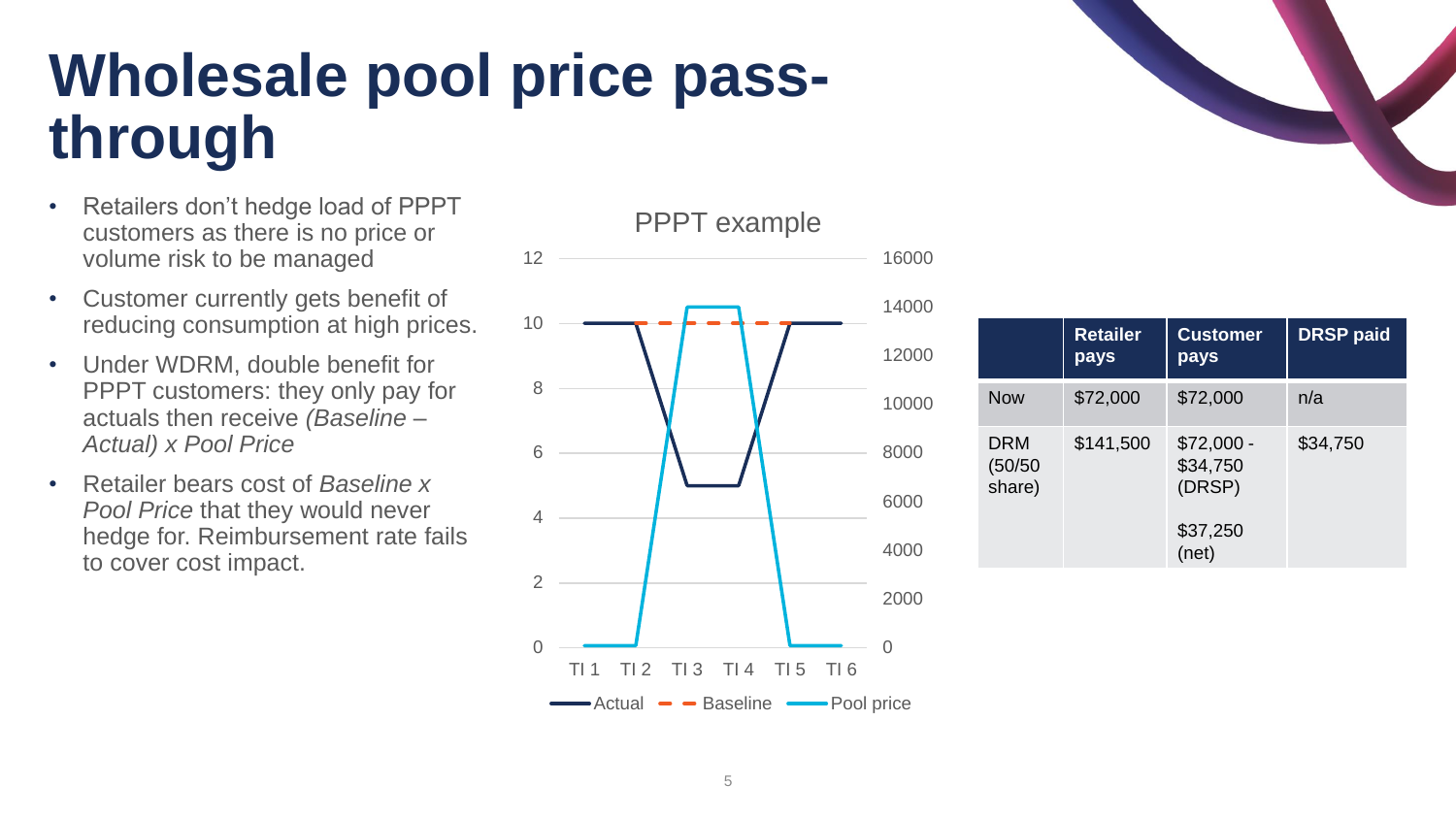### **Wholesale pool price passthrough**

- Retailers don't hedge load of PPPT customers as there is no price or volume risk to be managed
- Customer currently gets benefit of reducing consumption at high prices.
- Under WDRM, double benefit for PPPT customers: they only pay for actuals then receive *(Baseline – Actual) x Pool Price*
- Retailer bears cost of *Baseline x Pool Price* that they would never hedge for. Reimbursement rate fails to cover cost impact.

PPPT example





|                          | <b>Retailer</b><br>pays | <b>Customer</b><br>pays           | <b>DRSP paid</b> |
|--------------------------|-------------------------|-----------------------------------|------------------|
| <b>Now</b>               | \$72,000                | \$72,000                          | n/a              |
| DRM<br>(50/50)<br>share) | \$141,500               | $$72,000 -$<br>\$34,750<br>(DRSP) | \$34,750         |
|                          |                         | \$37,250<br>(net)                 |                  |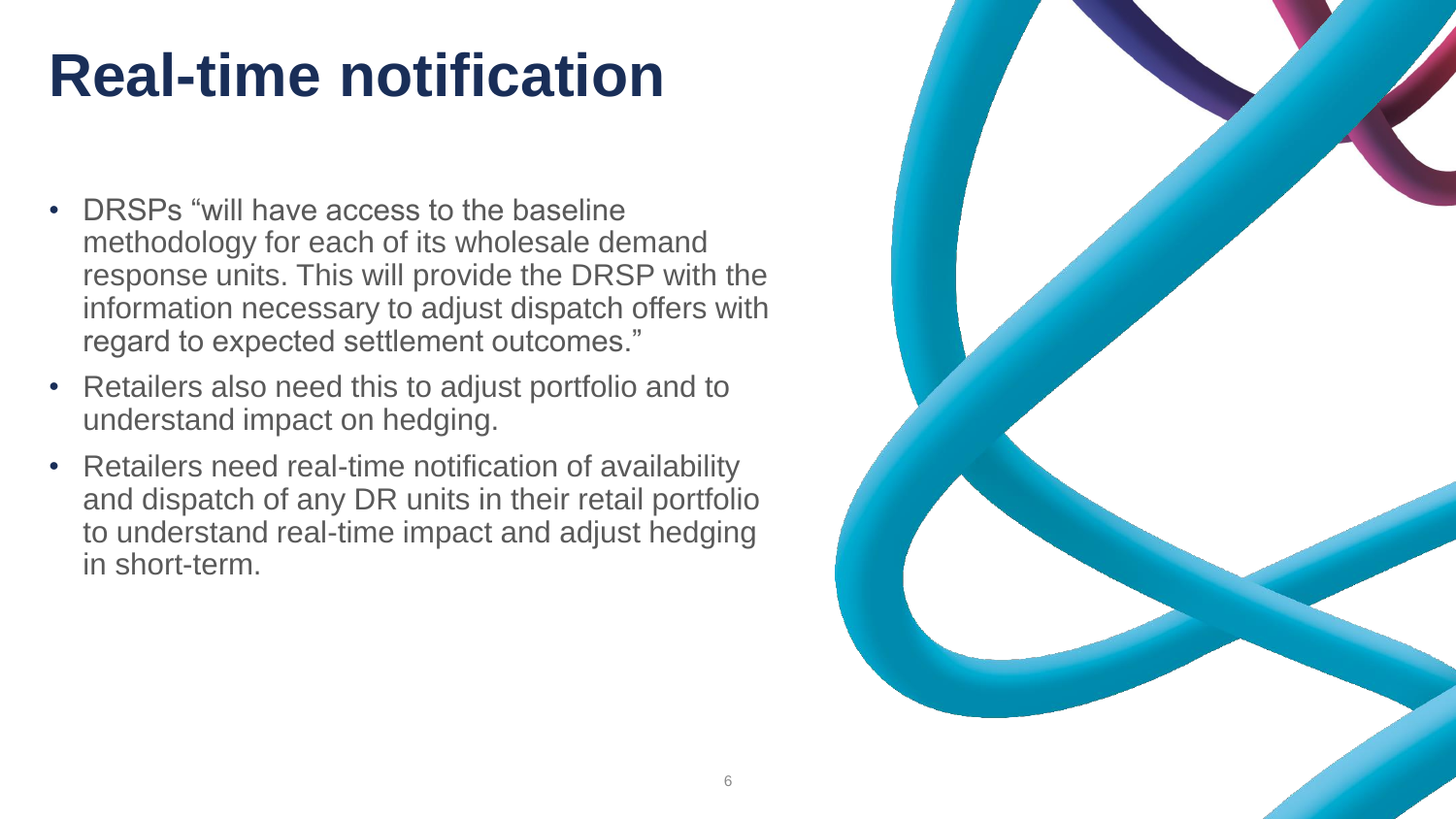## **Real-time notification**

- DRSPs "will have access to the baseline methodology for each of its wholesale demand response units. This will provide the DRSP with the information necessary to adjust dispatch offers with regard to expected settlement outcomes."
- Retailers also need this to adjust portfolio and to understand impact on hedging.
- Retailers need real-time notification of availability and dispatch of any DR units in their retail portfolio to understand real-time impact and adjust hedging in short-term.

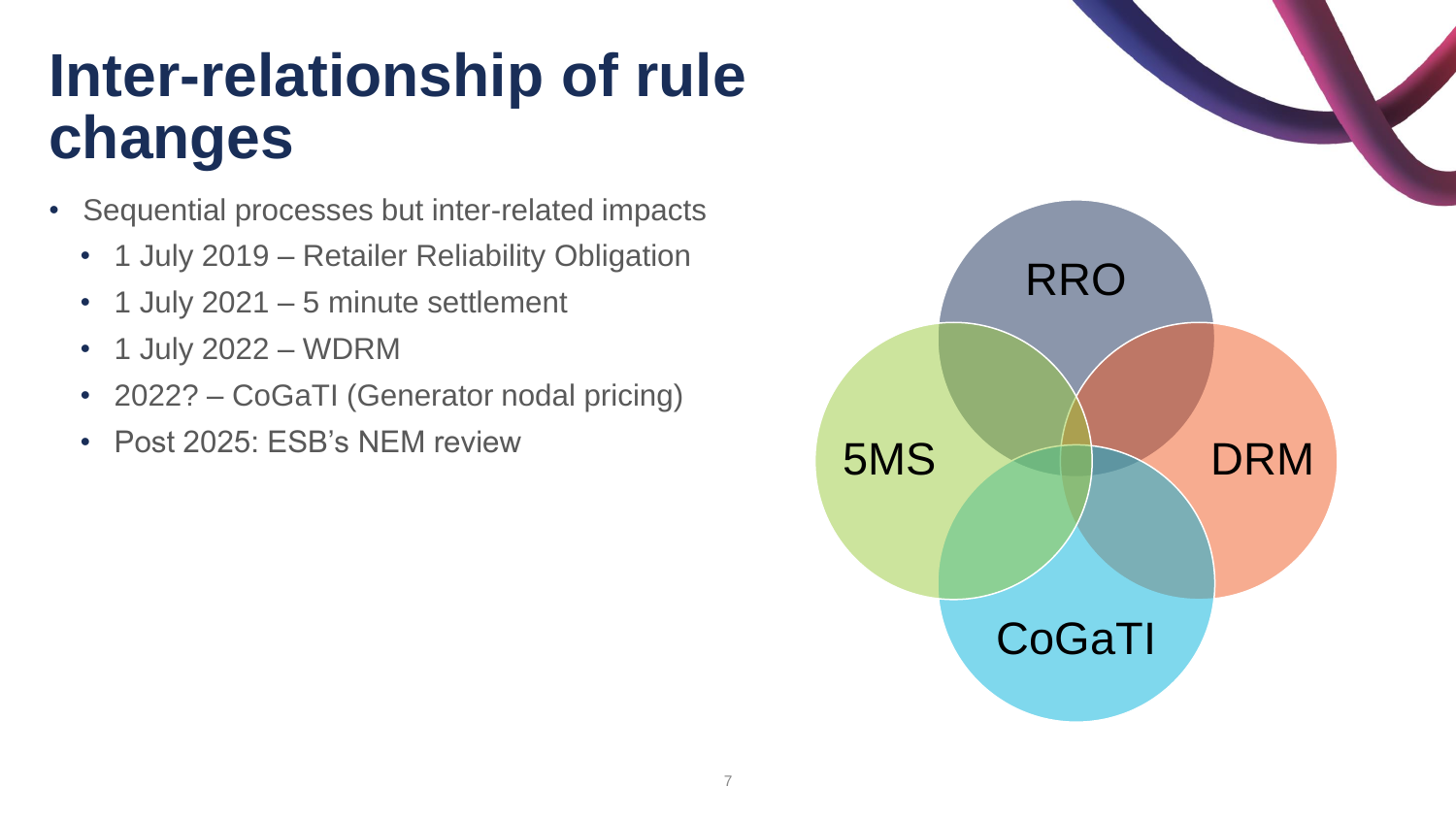### **Inter-relationship of rule changes**

- Sequential processes but inter-related impacts
	- 1 July 2019 Retailer Reliability Obligation
	- 1 July 2021 5 minute settlement
	- 1 July 2022 WDRM
	- 2022? CoGaTI (Generator nodal pricing)
	- Post 2025: ESB's NEM review